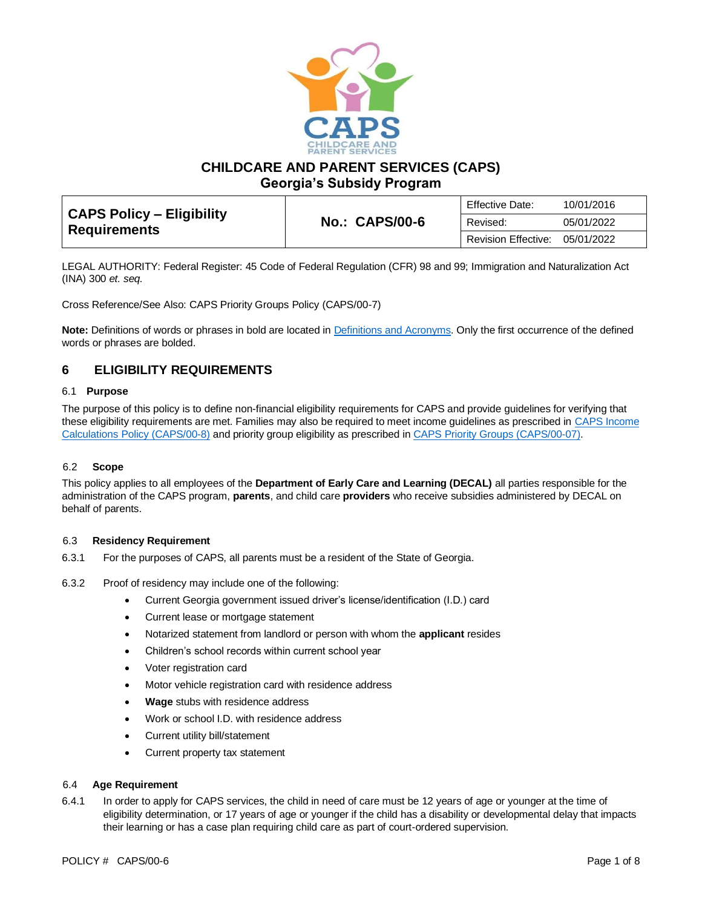

**CHILDCARE AND PARENT SERVICES (CAPS)**

**Georgia's Subsidy Program**

| CAPS Policy – Eligibility<br><b>Requirements</b> |                       | <b>Effective Date:</b> | 10/01/2016 |
|--------------------------------------------------|-----------------------|------------------------|------------|
|                                                  | <b>No.: CAPS/00-6</b> | Revised:               | 05/01/2022 |
|                                                  |                       | Revision Effective:    | 05/01/2022 |

LEGAL AUTHORITY: Federal Register: 45 Code of Federal Regulation (CFR) 98 and 99; Immigration and Naturalization Act (INA) 300 *et. seq.*

Cross Reference/See Also: CAPS Priority Groups Policy (CAPS/00-7)

**Note:** Definitions of words or phrases in bold are located in [Definitions and Acronyms.](https://caps.decal.ga.gov/assets/downloads/CAPS/02-CAPS_Policy-Definitions%20and%20Acronyms.pdf) Only the first occurrence of the defined words or phrases are bolded.

# **6 ELIGIBILITY REQUIREMENTS**

## 6.1 **Purpose**

The purpose of this policy is to define non-financial eligibility requirements for CAPS and provide guidelines for verifying that these eligibility requirements are met. Families may also be required to meet income guidelines as prescribed in CAPS Income [Calculations Policy \(CAPS/00-8\)](https://caps.decal.ga.gov/assets/downloads/CAPS/08-CAPS_Policy-Income%20Calculations.pdf) and priority group eligibility as prescribed in CAPS [Priority Groups \(CAPS/00-07\).](https://caps.decal.ga.gov/assets/downloads/CAPS/07-CAPS_Policy-Priority%20Groups.pdf)

# 6.2 **Scope**

This policy applies to all employees of the **Department of Early Care and Learning (DECAL)** all parties responsible for the administration of the CAPS program, **parents**, and child care **providers** who receive subsidies administered by DECAL on behalf of parents.

### 6.3 **Residency Requirement**

- 6.3.1 For the purposes of CAPS, all parents must be a resident of the State of Georgia.
- 6.3.2 Proof of residency may include one of the following:
	- Current Georgia government issued driver's license/identification (I.D.) card
	- Current lease or mortgage statement
	- Notarized statement from landlord or person with whom the **applicant** resides
	- Children's school records within current school year
	- Voter registration card
	- Motor vehicle registration card with residence address
	- **Wage** stubs with residence address
	- Work or school I.D. with residence address
	- Current utility bill/statement
	- Current property tax statement

### 6.4 **Age Requirement**

6.4.1 In order to apply for CAPS services, the child in need of care must be 12 years of age or younger at the time of eligibility determination, or 17 years of age or younger if the child has a disability or developmental delay that impacts their learning or has a case plan requiring child care as part of court-ordered supervision.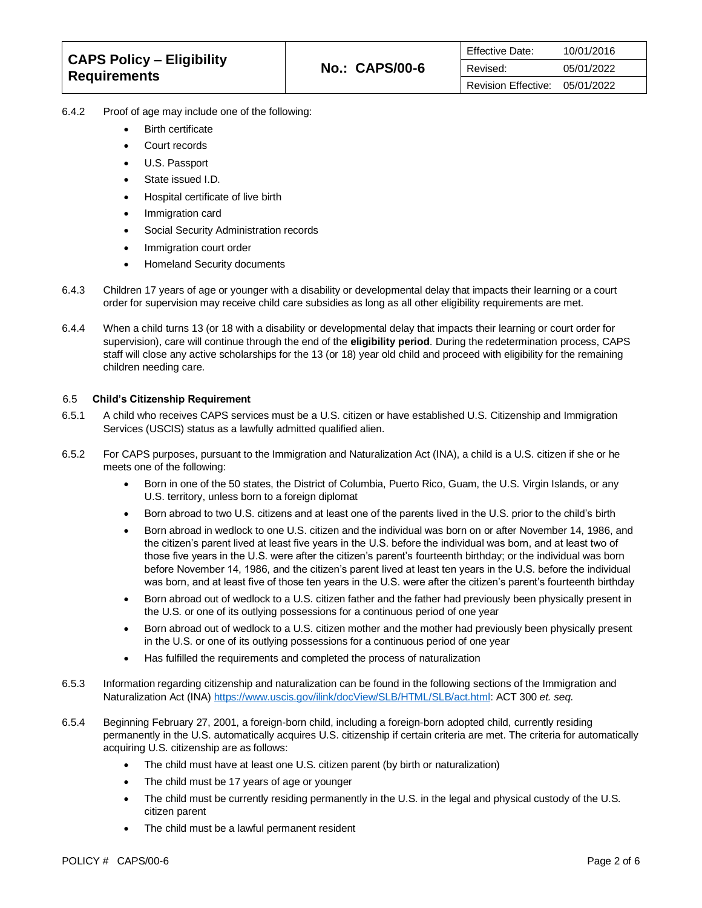| CAPS Policy – Eligibility<br><b>Requirements</b> |                       | <b>Effective Date:</b> | 10/01/2016 |
|--------------------------------------------------|-----------------------|------------------------|------------|
|                                                  | <b>No.: CAPS/00-6</b> | Revised:               | 05/01/2022 |
|                                                  |                       | Revision Effective:    | 05/01/2022 |

- 6.4.2 Proof of age may include one of the following:
	- Birth certificate
	- Court records
	- U.S. Passport
	- State issued I.D.
	- Hospital certificate of live birth
	- Immigration card
	- Social Security Administration records
	- Immigration court order
	- Homeland Security documents
- 6.4.3 Children 17 years of age or younger with a disability or developmental delay that impacts their learning or a court order for supervision may receive child care subsidies as long as all other eligibility requirements are met.
- 6.4.4 When a child turns 13 (or 18 with a disability or developmental delay that impacts their learning or court order for supervision), care will continue through the end of the **eligibility period**. During the redetermination process, CAPS staff will close any active scholarships for the 13 (or 18) year old child and proceed with eligibility for the remaining children needing care.

## 6.5 **Child's Citizenship Requirement**

- 6.5.1 A child who receives CAPS services must be a U.S. citizen or have established U.S. Citizenship and Immigration Services (USCIS) status as a lawfully admitted qualified alien.
- 6.5.2 For CAPS purposes, pursuant to the Immigration and Naturalization Act (INA), a child is a U.S. citizen if she or he meets one of the following:
	- Born in one of the 50 states, the District of Columbia, Puerto Rico, Guam, the U.S. Virgin Islands, or any U.S. territory, unless born to a foreign diplomat
	- Born abroad to two U.S. citizens and at least one of the parents lived in the U.S. prior to the child's birth
	- Born abroad in wedlock to one U.S. citizen and the individual was born on or after November 14, 1986, and the citizen's parent lived at least five years in the U.S. before the individual was born, and at least two of those five years in the U.S. were after the citizen's parent's fourteenth birthday; or the individual was born before November 14, 1986, and the citizen's parent lived at least ten years in the U.S. before the individual was born, and at least five of those ten years in the U.S. were after the citizen's parent's fourteenth birthday
	- Born abroad out of wedlock to a U.S. citizen father and the father had previously been physically present in the U.S. or one of its outlying possessions for a continuous period of one year
	- Born abroad out of wedlock to a U.S. citizen mother and the mother had previously been physically present in the U.S. or one of its outlying possessions for a continuous period of one year
	- Has fulfilled the requirements and completed the process of naturalization
- 6.5.3 Information regarding citizenship and naturalization can be found in the following sections of the Immigration and Naturalization Act (INA[\) https://www.uscis.gov/ilink/docView/SLB/HTML/SLB/act.html:](https://www.uscis.gov/ilink/docView/SLB/HTML/SLB/act.html) ACT 300 *et. seq.*
- 6.5.4 Beginning February 27, 2001, a foreign-born child, including a foreign-born adopted child, currently residing permanently in the U.S. automatically acquires U.S. citizenship if certain criteria are met. The criteria for automatically acquiring U.S. citizenship are as follows:
	- The child must have at least one U.S. citizen parent (by birth or naturalization)
	- The child must be 17 years of age or younger
	- The child must be currently residing permanently in the U.S. in the legal and physical custody of the U.S. citizen parent
	- The child must be a lawful permanent resident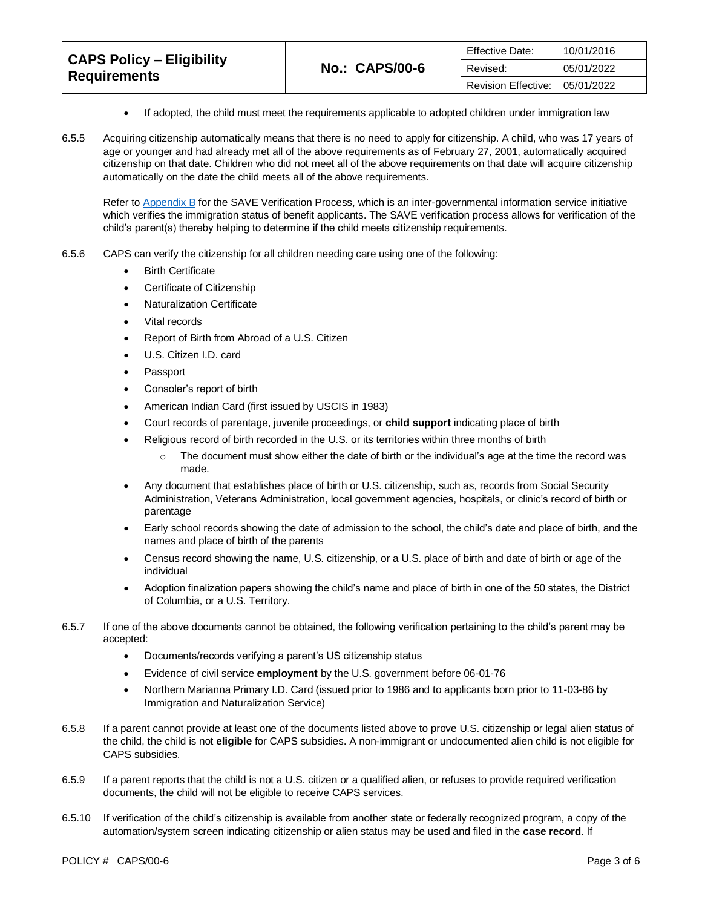| <b>CAPS Policy – Eligibility</b> |                       | Effective Date:     | 10/01/2016 |
|----------------------------------|-----------------------|---------------------|------------|
| <b>Requirements</b>              | <b>No.: CAPS/00-6</b> | Revised:            | 05/01/2022 |
|                                  |                       | Revision Effective: | 05/01/2022 |

- If adopted, the child must meet the requirements applicable to adopted children under immigration law
- 6.5.5 Acquiring citizenship automatically means that there is no need to apply for citizenship. A child, who was 17 years of age or younger and had already met all of the above requirements as of February 27, 2001, automatically acquired citizenship on that date. Children who did not meet all of the above requirements on that date will acquire citizenship automatically on the date the child meets all of the above requirements.

Refer t[o Appendix B](https://caps.decal.ga.gov/assets/downloads/CAPS/AppendixB-Citizenship%20Verification%20Procedures%20(SAVE).pdf) for the SAVE Verification Process, which is an inter-governmental information service initiative which verifies the immigration status of benefit applicants. The SAVE verification process allows for verification of the child's parent(s) thereby helping to determine if the child meets citizenship requirements.

- 6.5.6 CAPS can verify the citizenship for all children needing care using one of the following:
	- Birth Certificate
	- Certificate of Citizenship
	- Naturalization Certificate
	- Vital records
	- Report of Birth from Abroad of a U.S. Citizen
	- U.S. Citizen I.D. card
	- Passport
	- Consoler's report of birth
	- American Indian Card (first issued by USCIS in 1983)
	- Court records of parentage, juvenile proceedings, or **child support** indicating place of birth
	- Religious record of birth recorded in the U.S. or its territories within three months of birth
		- $\circ$  The document must show either the date of birth or the individual's age at the time the record was made.
	- Any document that establishes place of birth or U.S. citizenship, such as, records from Social Security Administration, Veterans Administration, local government agencies, hospitals, or clinic's record of birth or parentage
	- Early school records showing the date of admission to the school, the child's date and place of birth, and the names and place of birth of the parents
	- Census record showing the name, U.S. citizenship, or a U.S. place of birth and date of birth or age of the individual
	- Adoption finalization papers showing the child's name and place of birth in one of the 50 states, the District of Columbia, or a U.S. Territory.
- 6.5.7 If one of the above documents cannot be obtained, the following verification pertaining to the child's parent may be accepted:
	- Documents/records verifying a parent's US citizenship status
	- Evidence of civil service **employment** by the U.S. government before 06-01-76
	- Northern Marianna Primary I.D. Card (issued prior to 1986 and to applicants born prior to 11-03-86 by Immigration and Naturalization Service)
- 6.5.8 If a parent cannot provide at least one of the documents listed above to prove U.S. citizenship or legal alien status of the child, the child is not **eligible** for CAPS subsidies. A non-immigrant or undocumented alien child is not eligible for CAPS subsidies.
- 6.5.9 If a parent reports that the child is not a U.S. citizen or a qualified alien, or refuses to provide required verification documents, the child will not be eligible to receive CAPS services.
- 6.5.10 If verification of the child's citizenship is available from another state or federally recognized program, a copy of the automation/system screen indicating citizenship or alien status may be used and filed in the **case record**. If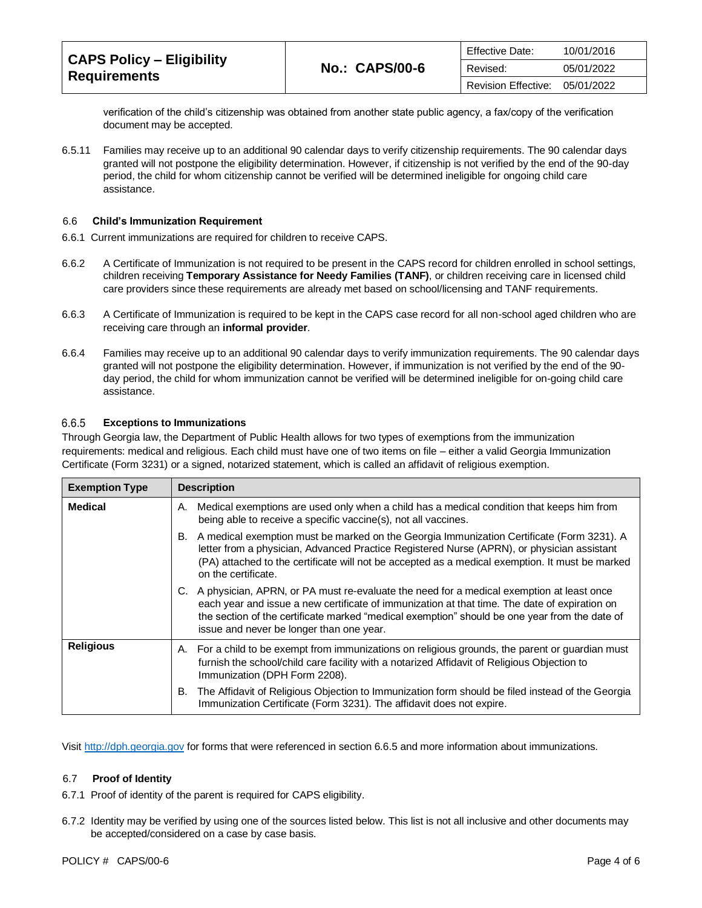| <b>CAPS Policy - Eligibility</b> | <b>No.: CAPS/00-6</b> | <b>Effective Date:</b> | 10/01/2016 |
|----------------------------------|-----------------------|------------------------|------------|
| <b>Requirements</b>              |                       | Revised:               | 05/01/2022 |
|                                  |                       | Revision Effective:    | 05/01/2022 |

verification of the child's citizenship was obtained from another state public agency, a fax/copy of the verification document may be accepted.

6.5.11 Families may receive up to an additional 90 calendar days to verify citizenship requirements. The 90 calendar days granted will not postpone the eligibility determination. However, if citizenship is not verified by the end of the 90-day period, the child for whom citizenship cannot be verified will be determined ineligible for ongoing child care assistance.

#### 6.6 **Child's Immunization Requirement**

- 6.6.1 Current immunizations are required for children to receive CAPS.
- 6.6.2 A Certificate of Immunization is not required to be present in the CAPS record for children enrolled in school settings, children receiving **Temporary Assistance for Needy Families (TANF)**, or children receiving care in licensed child care providers since these requirements are already met based on school/licensing and TANF requirements.
- 6.6.3 A Certificate of Immunization is required to be kept in the CAPS case record for all non-school aged children who are receiving care through an **informal provider**.
- 6.6.4 Families may receive up to an additional 90 calendar days to verify immunization requirements. The 90 calendar days granted will not postpone the eligibility determination. However, if immunization is not verified by the end of the 90 day period, the child for whom immunization cannot be verified will be determined ineligible for on-going child care assistance.

#### 6.6.5 **Exceptions to Immunizations**

Through Georgia law, the Department of Public Health allows for two types of exemptions from the immunization requirements: medical and religious. Each child must have one of two items on file – either a valid Georgia Immunization Certificate (Form 3231) or a signed, notarized statement, which is called an affidavit of religious exemption.

| <b>Exemption Type</b> | <b>Description</b>                                                                                                                                                                                                                                                                                                                           |
|-----------------------|----------------------------------------------------------------------------------------------------------------------------------------------------------------------------------------------------------------------------------------------------------------------------------------------------------------------------------------------|
| <b>Medical</b>        | Medical exemptions are used only when a child has a medical condition that keeps him from<br>А.<br>being able to receive a specific vaccine(s), not all vaccines.                                                                                                                                                                            |
|                       | B. A medical exemption must be marked on the Georgia Immunization Certificate (Form 3231). A<br>letter from a physician, Advanced Practice Registered Nurse (APRN), or physician assistant<br>(PA) attached to the certificate will not be accepted as a medical exemption. It must be marked<br>on the certificate.                         |
|                       | A physician, APRN, or PA must re-evaluate the need for a medical exemption at least once<br>C.<br>each year and issue a new certificate of immunization at that time. The date of expiration on<br>the section of the certificate marked "medical exemption" should be one year from the date of<br>issue and never be longer than one year. |
| <b>Religious</b>      | A. For a child to be exempt from immunizations on religious grounds, the parent or guardian must<br>furnish the school/child care facility with a notarized Affidavit of Religious Objection to<br>Immunization (DPH Form 2208).                                                                                                             |
|                       | The Affidavit of Religious Objection to Immunization form should be filed instead of the Georgia<br>В.<br>Immunization Certificate (Form 3231). The affidavit does not expire.                                                                                                                                                               |

Visit [http://dph.georgia.gov](http://dph.georgia.gov/) for forms that were referenced in section 6.6.5 and more information about immunizations.

### 6.7 **Proof of Identity**

- 6.7.1 Proof of identity of the parent is required for CAPS eligibility.
- 6.7.2 Identity may be verified by using one of the sources listed below. This list is not all inclusive and other documents may be accepted/considered on a case by case basis.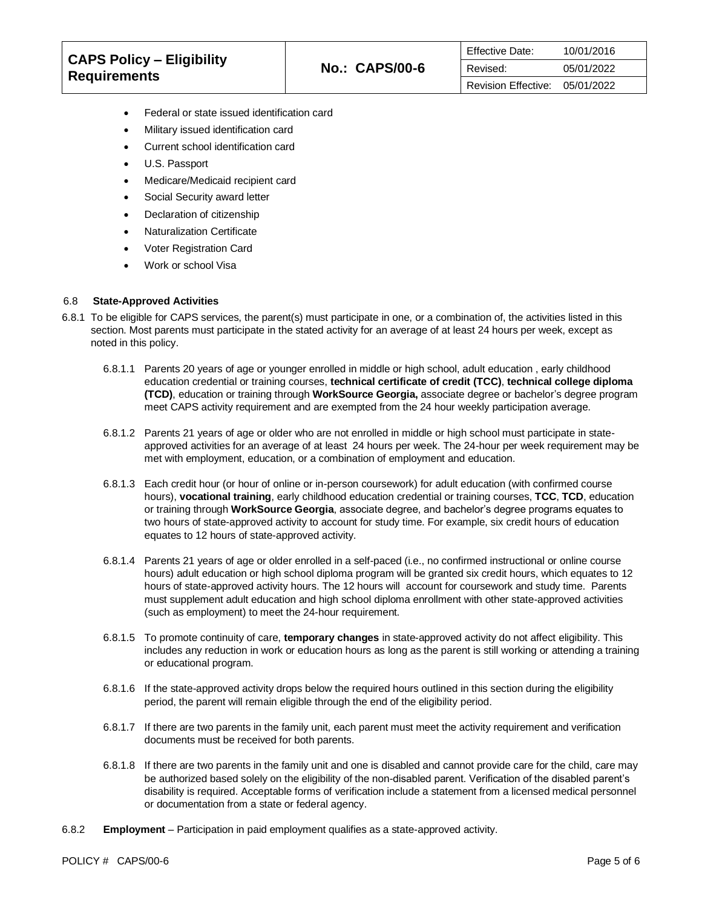| <b>CAPS Policy - Eligibility</b><br><b>Requirements</b> |                       | Effective Date:     | 10/01/2016 |
|---------------------------------------------------------|-----------------------|---------------------|------------|
|                                                         | <b>No.: CAPS/00-6</b> | Revised:            | 05/01/2022 |
|                                                         |                       | Revision Effective: | 05/01/2022 |

- Federal or state issued identification card
- Military issued identification card
- Current school identification card
- U.S. Passport
- Medicare/Medicaid recipient card
- Social Security award letter
- Declaration of citizenship
- Naturalization Certificate
- Voter Registration Card
- Work or school Visa

### 6.8 **State-Approved Activities**

- 6.8.1 To be eligible for CAPS services, the parent(s) must participate in one, or a combination of, the activities listed in this section. Most parents must participate in the stated activity for an average of at least 24 hours per week, except as noted in this policy.
	- 6.8.1.1 Parents 20 years of age or younger enrolled in middle or high school, adult education , early childhood education credential or training courses, **technical certificate of credit (TCC)**, **technical college diploma (TCD)**, education or training through **WorkSource Georgia,** associate degree or bachelor's degree program meet CAPS activity requirement and are exempted from the 24 hour weekly participation average.
	- 6.8.1.2 Parents 21 years of age or older who are not enrolled in middle or high school must participate in stateapproved activities for an average of at least 24 hours per week. The 24-hour per week requirement may be met with employment, education, or a combination of employment and education.
	- 6.8.1.3 Each credit hour (or hour of online or in-person coursework) for adult education (with confirmed course hours), **vocational training**, early childhood education credential or training courses, **TCC**, **TCD**, education or training through **WorkSource Georgia**, associate degree, and bachelor's degree programs equates to two hours of state-approved activity to account for study time. For example, six credit hours of education equates to 12 hours of state-approved activity.
	- 6.8.1.4 Parents 21 years of age or older enrolled in a self-paced (i.e., no confirmed instructional or online course hours) adult education or high school diploma program will be granted six credit hours, which equates to 12 hours of state-approved activity hours. The 12 hours will account for coursework and study time. Parents must supplement adult education and high school diploma enrollment with other state-approved activities (such as employment) to meet the 24-hour requirement.
	- 6.8.1.5 To promote continuity of care, **temporary changes** in state-approved activity do not affect eligibility. This includes any reduction in work or education hours as long as the parent is still working or attending a training or educational program.
	- 6.8.1.6 If the state-approved activity drops below the required hours outlined in this section during the eligibility period, the parent will remain eligible through the end of the eligibility period.
	- 6.8.1.7 If there are two parents in the family unit, each parent must meet the activity requirement and verification documents must be received for both parents.
	- 6.8.1.8 If there are two parents in the family unit and one is disabled and cannot provide care for the child, care may be authorized based solely on the eligibility of the non-disabled parent. Verification of the disabled parent's disability is required. Acceptable forms of verification include a statement from a licensed medical personnel or documentation from a state or federal agency.
- 6.8.2 **Employment** Participation in paid employment qualifies as a state-approved activity.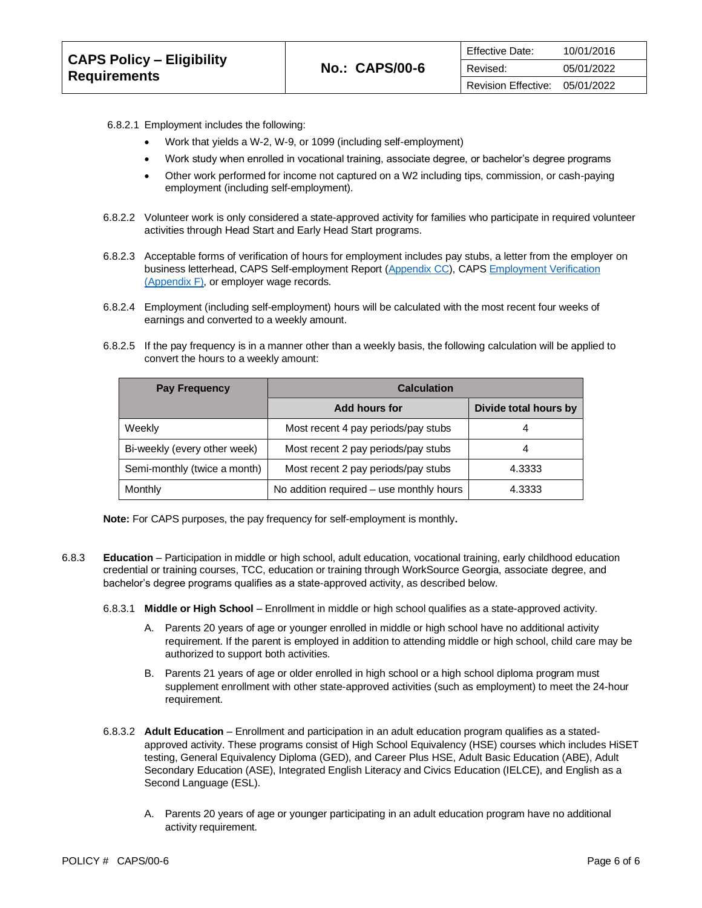| <b>CAPS Policy - Eligibility</b><br><b>Requirements</b> |                       | <b>Effective Date:</b> | 10/01/2016 |
|---------------------------------------------------------|-----------------------|------------------------|------------|
|                                                         | <b>No.: CAPS/00-6</b> | Revised:               | 05/01/2022 |
|                                                         |                       | Revision Effective:    | 05/01/2022 |

- 6.8.2.1 Employment includes the following:
	- Work that yields a W-2, W-9, or 1099 (including self-employment)
	- Work study when enrolled in vocational training, associate degree, or bachelor's degree programs
	- Other work performed for income not captured on a W2 including tips, commission, or cash-paying employment (including self-employment).
- 6.8.2.2 Volunteer work is only considered a state-approved activity for families who participate in required volunteer activities through Head Start and Early Head Start programs.
- 6.8.2.3 Acceptable forms of verification of hours for employment includes pay stubs, a letter from the employer on business letterhead, CAPS Self-employment Report [\(Appendix CC\)](https://caps.decal.ga.gov/assets/downloads/CAPS/Appendix_CC-Self%20Employment%20Report.pdf), CAP[S Employment Verification](https://caps.decal.ga.gov/assets/downloads/CAPS/AppendixF-Employment%20Verification.pdf)  [\(Appendix F\),](https://caps.decal.ga.gov/assets/downloads/CAPS/AppendixF-Employment%20Verification.pdf) or employer wage records.
- 6.8.2.4 Employment (including self-employment) hours will be calculated with the most recent four weeks of earnings and converted to a weekly amount.
- 6.8.2.5 If the pay frequency is in a manner other than a weekly basis, the following calculation will be applied to convert the hours to a weekly amount:

| <b>Pay Frequency</b>         | <b>Calculation</b>                       |                       |
|------------------------------|------------------------------------------|-----------------------|
|                              | Add hours for                            | Divide total hours by |
| Weekly                       | Most recent 4 pay periods/pay stubs      | 4                     |
| Bi-weekly (every other week) | Most recent 2 pay periods/pay stubs      |                       |
| Semi-monthly (twice a month) | Most recent 2 pay periods/pay stubs      | 4.3333                |
| Monthly                      | No addition required - use monthly hours | 4.3333                |

**Note:** For CAPS purposes, the pay frequency for self-employment is monthly**.** 

- 6.8.3 **Education**  Participation in middle or high school, adult education, vocational training, early childhood education credential or training courses, TCC, education or training through WorkSource Georgia, associate degree, and bachelor's degree programs qualifies as a state-approved activity, as described below.
	- 6.8.3.1 **Middle or High School** Enrollment in middle or high school qualifies as a state-approved activity.
		- A. Parents 20 years of age or younger enrolled in middle or high school have no additional activity requirement. If the parent is employed in addition to attending middle or high school, child care may be authorized to support both activities.
		- B. Parents 21 years of age or older enrolled in high school or a high school diploma program must supplement enrollment with other state-approved activities (such as employment) to meet the 24-hour requirement.
	- 6.8.3.2 **Adult Education**  Enrollment and participation in an adult education program qualifies as a statedapproved activity. These programs consist of High School Equivalency (HSE) courses which includes HiSET testing, General Equivalency Diploma (GED), and Career Plus HSE, Adult Basic Education (ABE), Adult Secondary Education (ASE), Integrated English Literacy and Civics Education (IELCE), and English as a Second Language (ESL).
		- A. Parents 20 years of age or younger participating in an adult education program have no additional activity requirement.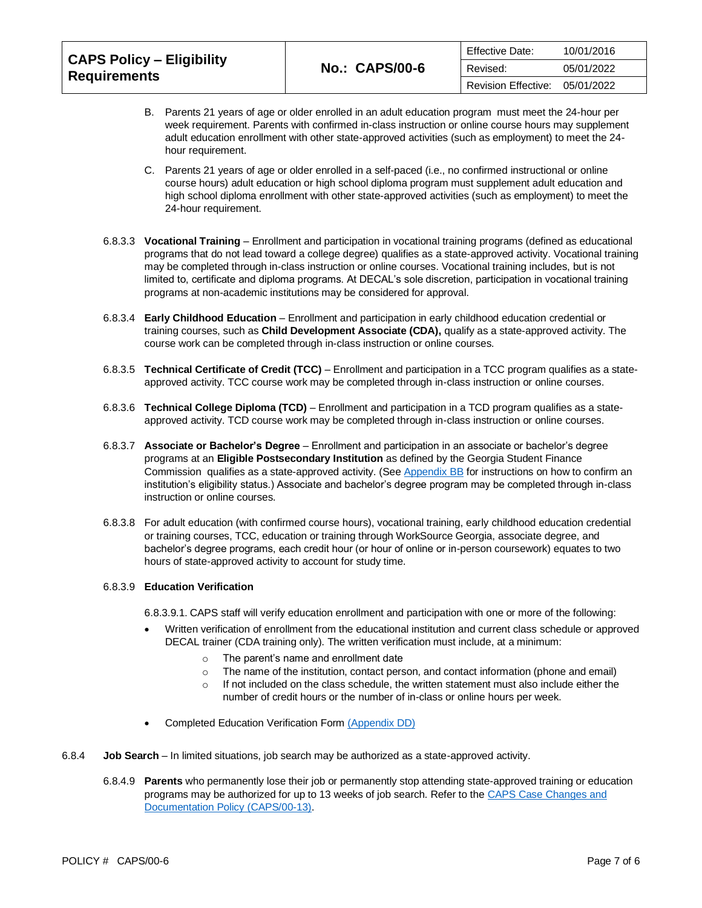| <b>CAPS Policy - Eligibility</b> |                       | <b>Effective Date:</b> | 10/01/2016 |
|----------------------------------|-----------------------|------------------------|------------|
| <b>Requirements</b>              | <b>No.: CAPS/00-6</b> | Revised:               | 05/01/2022 |
|                                  |                       | Revision Effective:    | 05/01/2022 |

- B. Parents 21 years of age or older enrolled in an adult education program must meet the 24-hour per week requirement. Parents with confirmed in-class instruction or online course hours may supplement adult education enrollment with other state-approved activities (such as employment) to meet the 24 hour requirement.
- C. Parents 21 years of age or older enrolled in a self-paced (i.e., no confirmed instructional or online course hours) adult education or high school diploma program must supplement adult education and high school diploma enrollment with other state-approved activities (such as employment) to meet the 24-hour requirement.
- 6.8.3.3 **Vocational Training** Enrollment and participation in vocational training programs (defined as educational programs that do not lead toward a college degree) qualifies as a state-approved activity. Vocational training may be completed through in-class instruction or online courses. Vocational training includes, but is not limited to, certificate and diploma programs. At DECAL's sole discretion, participation in vocational training programs at non-academic institutions may be considered for approval.
- 6.8.3.4 **Early Childhood Education** Enrollment and participation in early childhood education credential or training courses, such as **Child Development Associate (CDA),** qualify as a state-approved activity. The course work can be completed through in-class instruction or online courses.
- 6.8.3.5 **Technical Certificate of Credit (TCC)** Enrollment and participation in a TCC program qualifies as a stateapproved activity. TCC course work may be completed through in-class instruction or online courses.
- 6.8.3.6 **Technical College Diploma (TCD)** Enrollment and participation in a TCD program qualifies as a stateapproved activity. TCD course work may be completed through in-class instruction or online courses.
- 6.8.3.7 **Associate or Bachelor's Degree**  Enrollment and participation in an associate or bachelor's degree programs at an **Eligible Postsecondary Institution** as defined by the Georgia Student Finance Commission qualifies as a state-approved activity. (Se[e Appendix BB](https://caps.decal.ga.gov/assets/downloads/CAPS/Appendix_BB-HOPE%20Eligible%20Institutions.pdf) for instructions on how to confirm an institution's eligibility status.) Associate and bachelor's degree program may be completed through in-class instruction or online courses.
- 6.8.3.8 For adult education (with confirmed course hours), vocational training, early childhood education credential or training courses, TCC, education or training through WorkSource Georgia, associate degree, and bachelor's degree programs, each credit hour (or hour of online or in-person coursework) equates to two hours of state-approved activity to account for study time.

# 6.8.3.9 **Education Verification**

6.8.3.9.1. CAPS staff will verify education enrollment and participation with one or more of the following:

- Written verification of enrollment from the educational institution and current class schedule or approved DECAL trainer (CDA training only). The written verification must include, at a minimum:
	- o The parent's name and enrollment date
	- $\circ$  The name of the institution, contact person, and contact information (phone and email)
	- $\circ$  If not included on the class schedule, the written statement must also include either the number of credit hours or the number of in-class or online hours per week.
- Completed Education Verification Form [\(Appendix DD\)](https://caps.decal.ga.gov/assets/downloads/CAPS/Appendix_DD-Education%20Verification.pdf)
- 6.8.4 **Job Search** In limited situations, job search may be authorized as a state-approved activity.
	- 6.8.4.9 **Parents** who permanently lose their job or permanently stop attending state-approved training or education programs may be authorized for up to 13 weeks of job search. Refer to the CAPS Case Changes and [Documentation Policy \(CAPS/00-13\).](https://caps.decal.ga.gov/assets/downloads/CAPS/13-CAPS_Policy-Case%20Changes%20and%20Documentation.pdf)